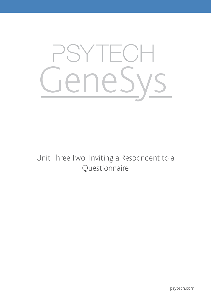

Unit Three.Two: Inviting a Respondent to a Questionnaire

psytech.com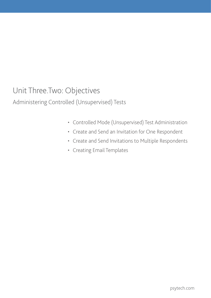# Unit Three.Two: Objectives

Administering Controlled (Unsupervised) Tests

- • Controlled Mode (Unsupervised) Test Administration
- • Create and Send an Invitation for One Respondent
- • Create and Send Invitations to Multiple Respondents
- • Creating Email Templates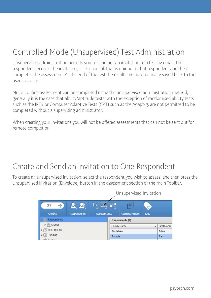# Controlled Mode (Unsupervised) Test Administration

Unsupervised administration permits you to send out an invitation to a test by email. The respondent receives the invitation, click on a link that is unique to that respondent and then completes the assessment. At the end of the test the results are automatically saved back to the users account.

Not all online assessment can be completed using the unsupervised administration method, generally it is the case that ability/aptitude tests, with the exception of randomised ability tests such as the IRT3 or Computer Adaptive Tests (CAT) such as the Adapt-g, are not permitted to be completed without a supervising administrator.

When creating your invitations you will not be offered assessments that can not be sent out for remote completion.

## Create and Send an Invitation to One Respondent

To create an unsupervised invitation, select the respondent you wish to assess, and then press the Unsupervised Invitation (Envelope) button in the assessment section of the main Toolbar.

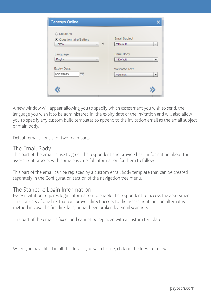| 2. Belleville<br><b>Genesys Online</b>                      | 1 IN PUTATRE IN SULVIVIER EVERYTH JOURN            |
|-------------------------------------------------------------|----------------------------------------------------|
| ◯ Solutions<br>⊙ Questionnaire/Battery<br>?<br>$15FQ+$<br>۰ | Email Subject<br>**Default<br>۰                    |
| Language<br>English<br>۰                                    | <b>Email Body</b><br>**Default<br>۰                |
| Expiry Date:<br>m<br>05/05/2013                             | <b>Welcome Text</b><br>**Default<br>$\blacksquare$ |
|                                                             |                                                    |

A new window will appear allowing you to specify which assessment you wish to send, the language you wish it to be administered in, the expiry date of the invitation and will also allow you to specify any custom build templates to append to the invitation email as the email subject or main body.

Default emails consist of two main parts.

#### The Email Body

This part of the email is use to greet the respondent and provide basic information about the assessment process with some basic useful information for them to follow.

This part of the email can be replaced by a custom email body template that can be created separately in the Configuration section of the navigation tree menu.

#### The Standard Login Information

Every invitation requires login information to enable the respondent to access the assessment. This consists of one link that will proved direct access to the assessment, and an alternative method in case the first link fails, or has been broken by email scanners.

This part of the email is fixed, and cannot be replaced with a custom template.

When you have filled in all the details you wish to use, click on the forward arrow.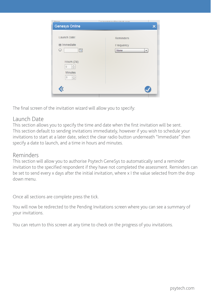| Drian                                                                                                  | h kendaksusfikandada sam            |
|--------------------------------------------------------------------------------------------------------|-------------------------------------|
| <b>Genesys Online</b>                                                                                  |                                     |
| Launch Date:<br>$\odot$ Immediate<br>$\circ$<br>m<br><b>Hours (24)</b><br>$\frac{a}{\tau}$<br>$\theta$ | Reminders<br>Frequency<br>None<br>۰ |
| <b>Minutes</b><br>$\frac{1}{\pi}$<br>$\mathbf{0}$                                                      |                                     |

The final screen of the invitation wizard will allow you to specify:

#### Launch Date

This section allows you to specify the time and date when the first invitation will be sent. This section default to sending invitations immediately, however if you wish to schedule your invitations to start at a later date, select the clear radio button underneath "Immediate" then specify a date to launch, and a time in hours and minutes.

#### Reminders

This section will allow you to authorise Psytech GeneSys to automatically send a reminder invitation to the specified respondent if they have not completed the assessment. Reminders can be set to send every x days after the initial invitation, where x I the value selected from the drop down menu.

Once all sections are complete press the tick.

You will now be redirected to the Pending Invitations screen where you can see a summary of your invitations.

You can return to this screen at any time to check on the progress of you invitations.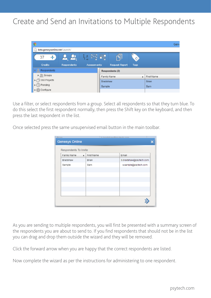## Create and Send an Invitations to Multiple Respondents



Use a filter, or select respondents from a group. Select all respondents so that they turn blue. To do this select the first respondent normally, then press the Shift key on the keyboard, and then press the last respondent in the list.

Once selected press the same unsupervised email button in the main toolbar.

| <b>Genesys Online</b> |                                |                        |
|-----------------------|--------------------------------|------------------------|
| Respondents To Invite |                                |                        |
| Family Name           | First Name<br>$\blacktriangle$ | Email                  |
| Bradshaw              | Brian                          | b.bradshaw@psytech.com |
| Sample                | Sam                            | s.sample@psytech.com   |
|                       |                                |                        |
|                       |                                |                        |
|                       |                                |                        |
|                       |                                |                        |
|                       |                                |                        |
|                       |                                |                        |
|                       |                                |                        |

As you are sending to multiple respondents, you will first be presented with a summary screen of the respondents you are about to send to. If you find respondents that should not be in the list you can drag and drop them outside the wizard and they will be removed.

Click the forward arrow when you are happy that the correct respondents are listed.

Now complete the wizard as per the instructions for administering to one respondent.